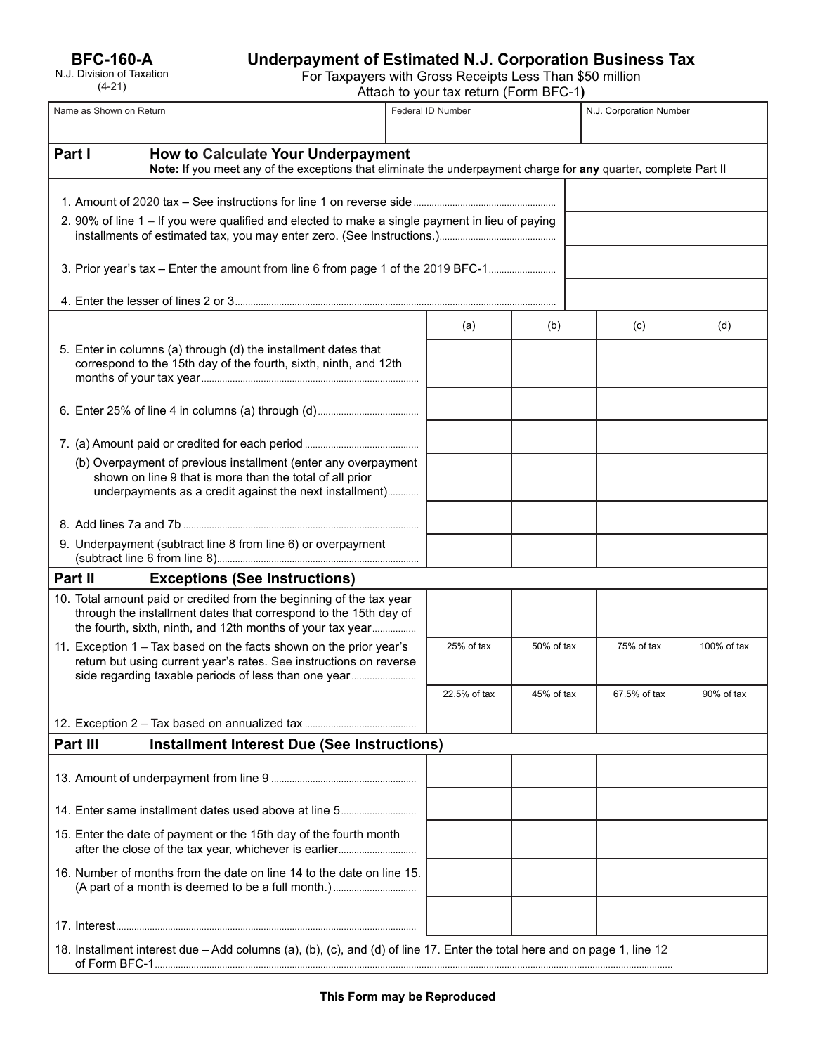**BFC-160-A**

# **Underpayment of Estimated N.J. Corporation Business Tax**

For Taxpayers with Gross Receipts Less Than \$50 million

Attach to your tax return (Form BFC-1**)**

| Name as Shown on Return                                                                                                                                                                                | Federal ID Number |            | N.J. Corporation Number |             |
|--------------------------------------------------------------------------------------------------------------------------------------------------------------------------------------------------------|-------------------|------------|-------------------------|-------------|
| Part I<br>How to Calculate Your Underpayment<br>Note: If you meet any of the exceptions that eliminate the underpayment charge for any quarter, complete Part II                                       |                   |            |                         |             |
| 2. 90% of line 1 – If you were qualified and elected to make a single payment in lieu of paying                                                                                                        |                   |            |                         |             |
| 3. Prior year's tax - Enter the amount from line 6 from page 1 of the 2019 BFC-1                                                                                                                       |                   |            |                         |             |
|                                                                                                                                                                                                        |                   |            |                         |             |
|                                                                                                                                                                                                        | (a)               | (b)        | (c)                     | (d)         |
| 5. Enter in columns (a) through (d) the installment dates that<br>correspond to the 15th day of the fourth, sixth, ninth, and 12th                                                                     |                   |            |                         |             |
|                                                                                                                                                                                                        |                   |            |                         |             |
|                                                                                                                                                                                                        |                   |            |                         |             |
| (b) Overpayment of previous installment (enter any overpayment<br>shown on line 9 that is more than the total of all prior<br>underpayments as a credit against the next installment)                  |                   |            |                         |             |
|                                                                                                                                                                                                        |                   |            |                         |             |
| 9. Underpayment (subtract line 8 from line 6) or overpayment                                                                                                                                           |                   |            |                         |             |
| Part II<br><b>Exceptions (See Instructions)</b>                                                                                                                                                        |                   |            |                         |             |
| 10. Total amount paid or credited from the beginning of the tax year<br>through the installment dates that correspond to the 15th day of<br>the fourth, sixth, ninth, and 12th months of your tax year |                   |            |                         |             |
| 11. Exception $1 -$ Tax based on the facts shown on the prior year's<br>return but using current year's rates. See instructions on reverse<br>side regarding taxable periods of less than one year     | 25% of tax        | 50% of tax | 75% of tax              | 100% of tax |
|                                                                                                                                                                                                        | 22.5% of tax      | 45% of tax | 67.5% of tax            | 90% of tax  |
|                                                                                                                                                                                                        |                   |            |                         |             |
| Part III<br><b>Installment Interest Due (See Instructions)</b>                                                                                                                                         |                   |            |                         |             |
|                                                                                                                                                                                                        |                   |            |                         |             |
| 14. Enter same installment dates used above at line 5                                                                                                                                                  |                   |            |                         |             |
| 15. Enter the date of payment or the 15th day of the fourth month                                                                                                                                      |                   |            |                         |             |
| 16. Number of months from the date on line 14 to the date on line 15.                                                                                                                                  |                   |            |                         |             |
|                                                                                                                                                                                                        |                   |            |                         |             |
| 18. Installment interest due - Add columns (a), (b), (c), and (d) of line 17. Enter the total here and on page 1, line 12                                                                              |                   |            |                         |             |